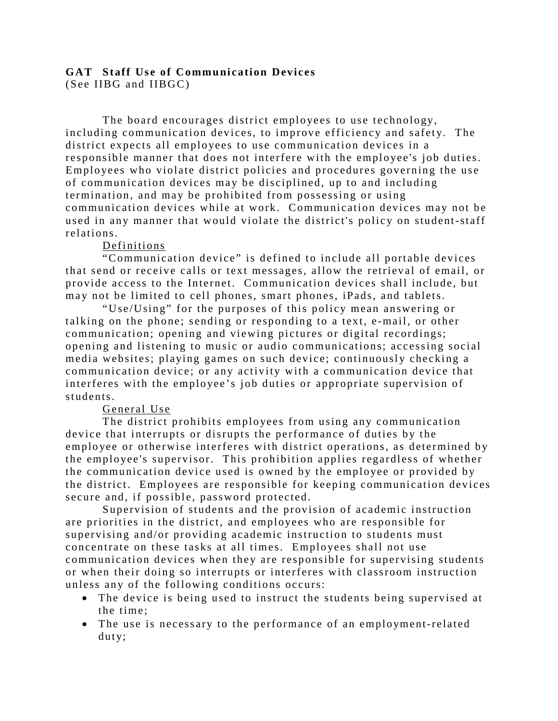# **GAT Staff Use of Communication Devices**

(See IIBG and IIBGC)

The board encourages district employees to use technology, including communication devices, to improve efficiency and safety. The district expects all employees to use communication devices in a responsible manner that does not interfere with the employee's job duties. Employees who violate district policies and procedures governing the use of communication devices may be disciplined, up to and including termination, and may be prohibited from possessing or using communication devices while at work. Communication devices may not be used in any manner that would violate the district's policy on student-staff relations.

### Definitions

"Communication device" is defined to include all portable devices that send or receive calls or text messages, allow the retrieval of email, or provide access to the Internet. Communication devices shall include, but may not be limited to cell phones, smart phones, iPads, and tablets.

"Use/Using" for the purposes of this policy mean answering or talking on the phone; sending or responding to a text, e -mail, or other communication; opening and viewing pictures or digital recordings; opening and listening to music or audio communications; accessing social media websites; playing games on such device; continuously checking a communication device; or any activity with a communication device that interferes with the employee's job duties or appropriate supervision of students.

#### General Use

The district prohibits employees from using any communication device that interrupts or disrupts the performance of duties by the employee or otherwise interferes with district operations, as determined by the employee's supervisor. This prohibition applies regardless of whether the communication device used is owned by the employee or provided by the district. Employees are responsible for keeping communication devices secure and, if possible, password protected.

Supervision of students and the provision of academic instruction are priorities in the district, and employees who are responsible for supervising and/or providing academic instruction to students must concentrate on these tasks at all times. Employees shall not use communication devices when they are responsible for supervising students or when their doing so interrupts or interferes with cla ssroom instruction unless any of the following conditions occurs:

- The device is being used to instruct the students being supervised at the time;
- The use is necessary to the performance of an employment-related duty;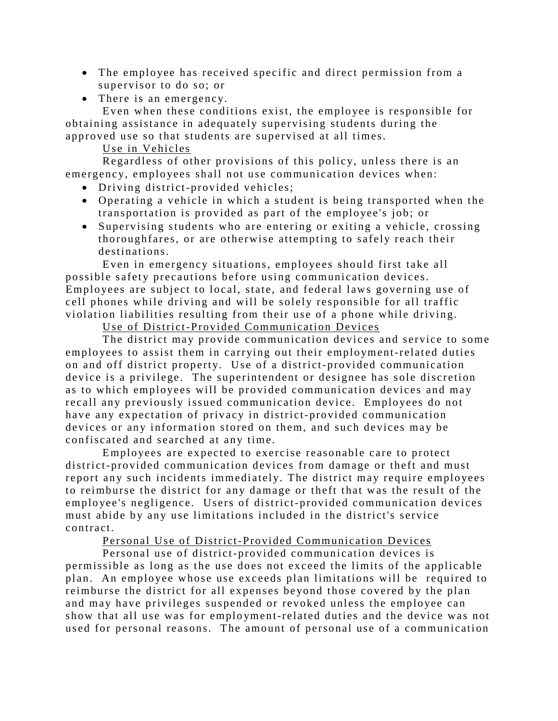- The employee has received specific and direct permission from a supervisor to do so; or
- There is an emergency.

Even when these conditions exist, the employee is responsible for obtaining assistance in adequately supervising students during the approved use so that students are supervised at all times.

## Use in Vehicles

Regardless of other provisions of this policy, unless there is an emergency, employees shall not use communication devices when:

- Driving district-provided vehicles;
- Operating a vehicle in which a student is being transported when the transportation is provided as part of the employee's job; or
- Supervising students who are entering or exiting a vehicle, crossing thoroughfares, or are otherwise attempting to safely reach their destinations.

Even in emergency situations, employees should first take all possible safety precautions before using communication devices. Employees are subject to local, state, and federal laws governing use of cell phones while driving and will be solely responsible for all traffic violation liabilities resulting from their use of a phone while driving.

### Use of District-Provided Communication Devices

The district may provide communication devices and service to some employees to assist them in carrying out their employment-related duties on and off district property. Use of a district-provided communication device is a privilege. The superintendent or designee has sole discretion as to which employees will be provided communication devices and may recall any previously issued communication device. Employees do not have any expectation of privacy in district-provided communication devices or any information stored on them, and such devices may be confiscated and searched at any time.

Employees are expected to exercise reasonable care to protect district-provided communication devices from damage or theft and must report any such incidents immediately. The district may require employees to reimburse the district for any damage or theft that was the result of the employee's negligence. Users of district-provided communication devices must abide by any use limitations included in the district's service contract.

## Personal Use of District-Provided Communication Devices

Personal use of district-provided communication devices is permissible as long as the use does not exceed the limits of the applicable plan. An employee whose use exceeds plan limitations will be required to reimburse the district for all expenses beyond those covered by the plan and may have privileges suspended or revoked unless the employee can show that all use was for employment-related duties and the device was not used for personal reasons. The amount of personal use of a communication